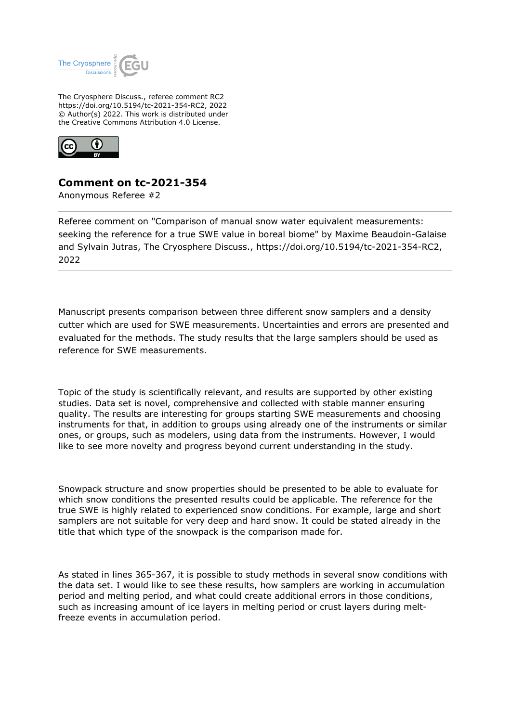

The Cryosphere Discuss., referee comment RC2 https://doi.org/10.5194/tc-2021-354-RC2, 2022 © Author(s) 2022. This work is distributed under the Creative Commons Attribution 4.0 License.



## **Comment on tc-2021-354**

Anonymous Referee #2

Referee comment on "Comparison of manual snow water equivalent measurements: seeking the reference for a true SWE value in boreal biome" by Maxime Beaudoin-Galaise and Sylvain Jutras, The Cryosphere Discuss., https://doi.org/10.5194/tc-2021-354-RC2, 2022

Manuscript presents comparison between three different snow samplers and a density cutter which are used for SWE measurements. Uncertainties and errors are presented and evaluated for the methods. The study results that the large samplers should be used as reference for SWE measurements.

Topic of the study is scientifically relevant, and results are supported by other existing studies. Data set is novel, comprehensive and collected with stable manner ensuring quality. The results are interesting for groups starting SWE measurements and choosing instruments for that, in addition to groups using already one of the instruments or similar ones, or groups, such as modelers, using data from the instruments. However, I would like to see more novelty and progress beyond current understanding in the study.

Snowpack structure and snow properties should be presented to be able to evaluate for which snow conditions the presented results could be applicable. The reference for the true SWE is highly related to experienced snow conditions. For example, large and short samplers are not suitable for very deep and hard snow. It could be stated already in the title that which type of the snowpack is the comparison made for.

As stated in lines 365-367, it is possible to study methods in several snow conditions with the data set. I would like to see these results, how samplers are working in accumulation period and melting period, and what could create additional errors in those conditions, such as increasing amount of ice layers in melting period or crust layers during meltfreeze events in accumulation period.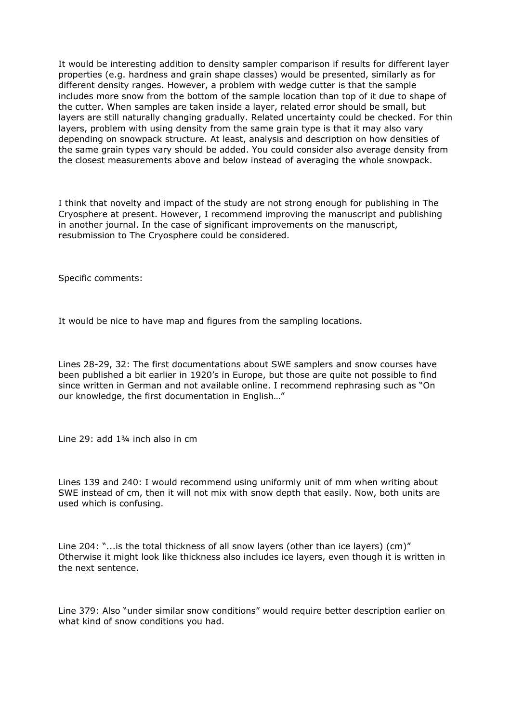It would be interesting addition to density sampler comparison if results for different layer properties (e.g. hardness and grain shape classes) would be presented, similarly as for different density ranges. However, a problem with wedge cutter is that the sample includes more snow from the bottom of the sample location than top of it due to shape of the cutter. When samples are taken inside a layer, related error should be small, but layers are still naturally changing gradually. Related uncertainty could be checked. For thin layers, problem with using density from the same grain type is that it may also vary depending on snowpack structure. At least, analysis and description on how densities of the same grain types vary should be added. You could consider also average density from the closest measurements above and below instead of averaging the whole snowpack.

I think that novelty and impact of the study are not strong enough for publishing in The Cryosphere at present. However, I recommend improving the manuscript and publishing in another journal. In the case of significant improvements on the manuscript, resubmission to The Cryosphere could be considered.

Specific comments:

It would be nice to have map and figures from the sampling locations.

Lines 28-29, 32: The first documentations about SWE samplers and snow courses have been published a bit earlier in 1920's in Europe, but those are quite not possible to find since written in German and not available online. I recommend rephrasing such as "On our knowledge, the first documentation in English…"

Line 29: add 1¾ inch also in cm

Lines 139 and 240: I would recommend using uniformly unit of mm when writing about SWE instead of cm, then it will not mix with snow depth that easily. Now, both units are used which is confusing.

Line 204: "...is the total thickness of all snow layers (other than ice layers) (cm)" Otherwise it might look like thickness also includes ice layers, even though it is written in the next sentence.

Line 379: Also "under similar snow conditions" would require better description earlier on what kind of snow conditions you had.